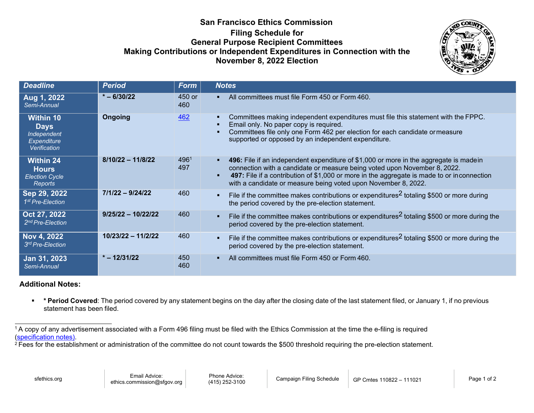## **San Francisco Ethics Commission Filing Schedule for General Purpose Recipient Committees Making Contributions or Independent Expenditures in Connection with the November 8, 2022 Election**



| <b>Deadline</b>                                                                      | <b>Period</b>        | <b>Form</b>   | <b>Notes</b>                                                                                                                                                                                                                                                                                                                       |
|--------------------------------------------------------------------------------------|----------------------|---------------|------------------------------------------------------------------------------------------------------------------------------------------------------------------------------------------------------------------------------------------------------------------------------------------------------------------------------------|
| Aug 1, 2022<br>Semi-Annual                                                           | $* - 6/30/22$        | 450 or<br>460 | All committees must file Form 450 or Form 460.                                                                                                                                                                                                                                                                                     |
| <b>Within 10</b><br><b>Days</b><br>Independent<br><b>Expenditure</b><br>Verification | <b>Ongoing</b>       | 462           | Committees making independent expenditures must file this statement with the FPPC.<br>Email only. No paper copy is required.<br>Committees file only one Form 462 per election for each candidate or measure<br>supported or opposed by an independent expenditure.                                                                |
| <b>Within 24</b><br><b>Hours</b><br><b>Election Cycle</b><br>Reports                 | $8/10/22 - 11/8/22$  | 4961<br>497   | 496: File if an independent expenditure of \$1,000 or more in the aggregate is madein<br>connection with a candidate or measure being voted upon November 8, 2022.<br>497: File if a contribution of \$1,000 or more in the aggregate is made to or inconnection<br>with a candidate or measure being voted upon November 8, 2022. |
| Sep 29, 2022<br>1 <sup>st</sup> Pre-Election                                         | $7/1/22 - 9/24/22$   | 460           | File if the committee makes contributions or expenditures <sup>2</sup> totaling \$500 or more during<br>the period covered by the pre-election statement.                                                                                                                                                                          |
| Oct 27, 2022<br>2 <sup>nd</sup> Pre-Election                                         | $9/25/22 - 10/22/22$ | 460           | File if the committee makes contributions or expenditures <sup>2</sup> totaling \$500 or more during the<br>period covered by the pre-election statement.                                                                                                                                                                          |
| Nov 4, 2022<br>3rd Pre-Election                                                      | $10/23/22 - 11/2/22$ | 460           | File if the committee makes contributions or expenditures <sup>2</sup> totaling \$500 or more during the<br>period covered by the pre-election statement.                                                                                                                                                                          |
| Jan 31, 2023<br>Semi-Annual                                                          | $* - 12/31/22$       | 450<br>460    | All committees must file Form 450 or Form 460.                                                                                                                                                                                                                                                                                     |

## **Additional Notes:**

 **\* Period Covered**: The period covered by any statement begins on the day after the closing date of the last statement filed, or January 1, if no previous statement has been filed.

<sup>&</sup>lt;sup>1</sup> A copy of any advertisement associated with a Form 496 filing must be filed with the Ethics Commission at the time the e-filing is required [\(specification notes\).](https://sfethics.org/wp-content/uploads/2019/11/Media_specifications_SFEthicsCommission_20191105.pdf)

<sup>&</sup>lt;sup>2</sup> Fees for the establishment or administration of the committee do not count towards the \$500 threshold requiring the pre-election statement.